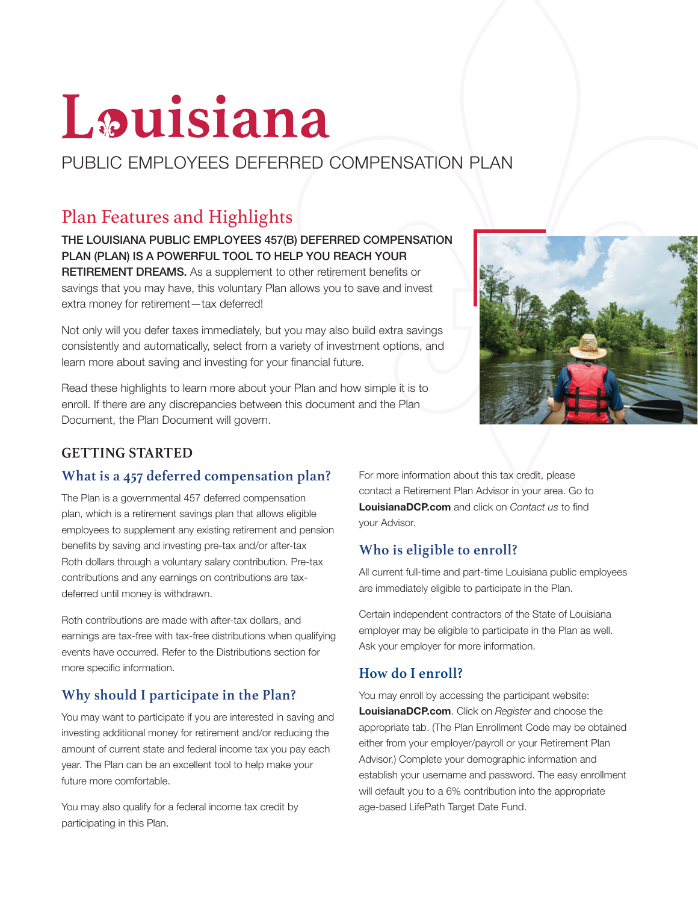# Louisiana

# PUBLIC EMPLOYEES DEFERRED COMPENSATION PLAN

# Plan Features and Highlights

THE LOUISIANA PUBLIC EMPLOYEES 457(B) DEFERRED COMPENSATION PLAN (PLAN) IS A POWERFUL TOOL TO HELP YOU REACH YOUR

RETIREMENT DREAMS. As a supplement to other retirement benefits or savings that you may have, this voluntary Plan allows you to save and invest extra money for retirement—tax deferred!

Not only will you defer taxes immediately, but you may also build extra savings consistently and automatically, select from a variety of investment options, and learn more about saving and investing for your financial future.

Read these highlights to learn more about your Plan and how simple it is to enroll. If there are any discrepancies between this document and the Plan Document, the Plan Document will govern.



#### **GETTING STARTED**

#### **What is a 457 deferred compensation plan?**

The Plan is a governmental 457 deferred compensation plan, which is a retirement savings plan that allows eligible employees to supplement any existing retirement and pension benefits by saving and investing pre-tax and/or after-tax Roth dollars through a voluntary salary contribution. Pre-tax contributions and any earnings on contributions are taxdeferred until money is withdrawn.

Roth contributions are made with after-tax dollars, and earnings are tax-free with tax-free distributions when qualifying events have occurred. Refer to the Distributions section for more specific information.

## **Why should I participate in the Plan?**

You may want to participate if you are interested in saving and investing additional money for retirement and/or reducing the amount of current state and federal income tax you pay each year. The Plan can be an excellent tool to help make your future more comfortable.

You may also qualify for a federal income tax credit by participating in this Plan.

For more information about this tax credit, please contact a Retirement Plan Advisor in your area. Go to LouisianaDCP.com and click on *Contact us* to find your Advisor.

## **Who is eligible to enroll?**

All current full-time and part-time Louisiana public employees are immediately eligible to participate in the Plan.

Certain independent contractors of the State of Louisiana employer may be eligible to participate in the Plan as well. Ask your employer for more information.

## **How do I enroll?**

You may enroll by accessing the participant website: LouisianaDCP.com. Click on *Register* and choose the appropriate tab. (The Plan Enrollment Code may be obtained either from your employer/payroll or your Retirement Plan Advisor.) Complete your demographic information and establish your username and password. The easy enrollment will default you to a 6% contribution into the appropriate age-based LifePath Target Date Fund.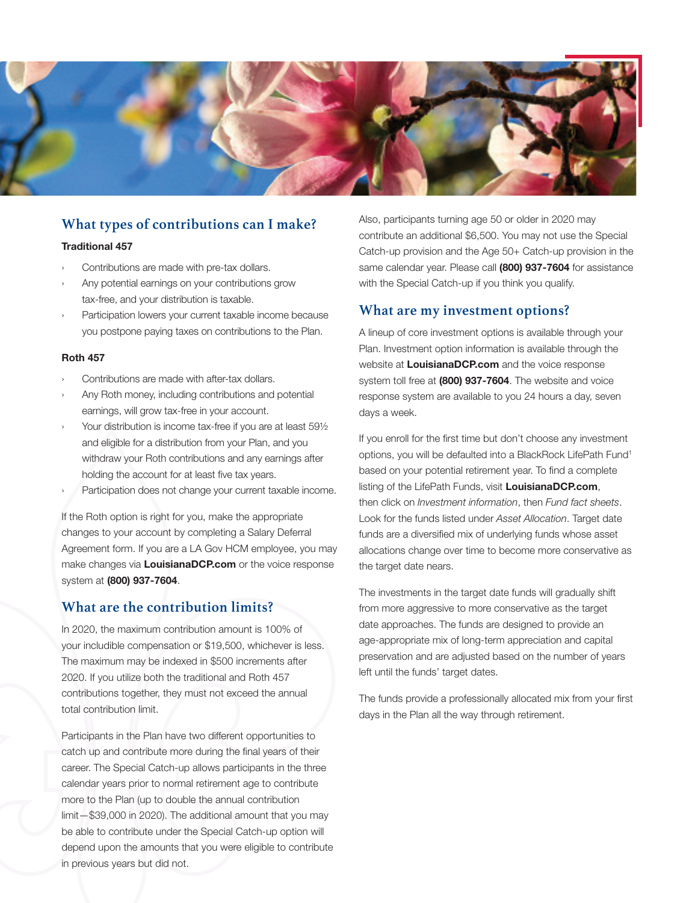

#### **What types of contributions can I make?**

#### Traditional 457

- Contributions are made with pre-tax dollars.
- Any potential earnings on your contributions grow tax-free, and your distribution is taxable.
- Participation lowers your current taxable income because you postpone paying taxes on contributions to the Plan.

#### Roth 457

- Contributions are made with after-tax dollars.
- Any Roth money, including contributions and potential earnings, will grow tax-free in your account.
- Your distribution is income tax-free if you are at least 591/2 and eligible for a distribution from your Plan, and you withdraw your Roth contributions and any earnings after holding the account for at least five tax years.
- Participation does not change your current taxable income.

If the Roth option is right for you, make the appropriate changes to your account by completing a Salary Deferral Agreement form. If you are a LA Gov HCM employee, you may make changes via LouisianaDCP.com or the voice response system at (800) 937-7604.

#### **What are the contribution limits?**

In 2020, the maximum contribution amount is 100% of your includible compensation or \$19,500, whichever is less. The maximum may be indexed in \$500 increments after 2020. If you utilize both the traditional and Roth 457 contributions together, they must not exceed the annual total contribution limit.

Participants in the Plan have two different opportunities to catch up and contribute more during the final years of their career. The Special Catch-up allows participants in the three calendar years prior to normal retirement age to contribute more to the Plan (up to double the annual contribution limit—\$39,000 in 2020). The additional amount that you may be able to contribute under the Special Catch-up option will depend upon the amounts that you were eligible to contribute in previous years but did not.

Also, participants turning age 50 or older in 2020 may contribute an additional \$6,500. You may not use the Special Catch-up provision and the Age 50+ Catch-up provision in the same calendar year. Please call (800) 937-7604 for assistance with the Special Catch-up if you think you qualify.

#### **What are my investment options?**

A lineup of core investment options is available through your Plan. Investment option information is available through the website at LouisianaDCP.com and the voice response system toll free at (800) 937-7604. The website and voice response system are available to you 24 hours a day, seven days a week.

If you enroll for the first time but don't choose any investment options, you will be defaulted into a BlackRock LifePath Fund1 based on your potential retirement year. To find a complete listing of the LifePath Funds, visit LouisianaDCP.com, then click on *Investment information*, then *Fund fact sheets*. Look for the funds listed under *Asset Allocation*. Target date funds are a diversified mix of underlying funds whose asset allocations change over time to become more conservative as the target date nears.

The investments in the target date funds will gradually shift from more aggressive to more conservative as the target date approaches. The funds are designed to provide an age-appropriate mix of long-term appreciation and capital preservation and are adjusted based on the number of years left until the funds' target dates.

The funds provide a professionally allocated mix from your first days in the Plan all the way through retirement.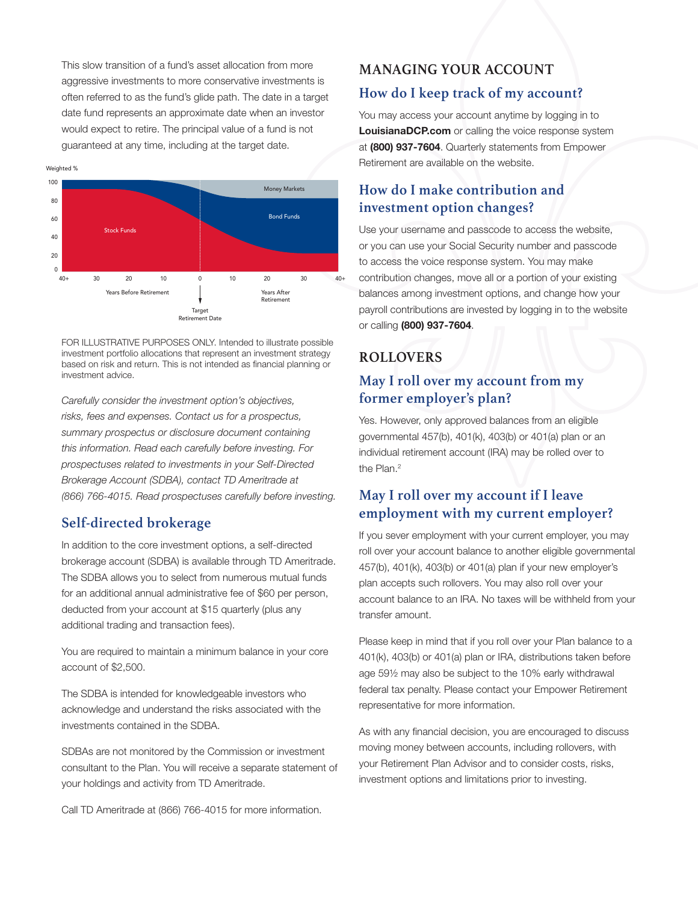This slow transition of a fund's asset allocation from more aggressive investments to more conservative investments is often referred to as the fund's glide path. The date in a target date fund represents an approximate date when an investor would expect to retire. The principal value of a fund is not guaranteed at any time, including at the target date.



FOR ILLUSTRATIVE PURPOSES ONLY. Intended to illustrate possible investment portfolio allocations that represent an investment strategy based on risk and return. This is not intended as financial planning or investment advice.

*Carefully consider the investment option's objectives, risks, fees and expenses. Contact us for a prospectus, summary prospectus or disclosure document containing this information. Read each carefully before investing. For prospectuses related to investments in your Self-Directed Brokerage Account (SDBA), contact TD Ameritrade at (866) 766-4015. Read prospectuses carefully before investing.*

#### **Self-directed brokerage**

In addition to the core investment options, a self-directed brokerage account (SDBA) is available through TD Ameritrade. The SDBA allows you to select from numerous mutual funds for an additional annual administrative fee of \$60 per person, deducted from your account at \$15 quarterly (plus any additional trading and transaction fees).

You are required to maintain a minimum balance in your core account of \$2,500.

The SDBA is intended for knowledgeable investors who acknowledge and understand the risks associated with the investments contained in the SDBA.

SDBAs are not monitored by the Commission or investment consultant to the Plan. You will receive a separate statement of your holdings and activity from TD Ameritrade.

Call TD Ameritrade at (866) 766-4015 for more information.

## **MANAGING YOUR ACCOUNT**

#### **How do I keep track of my account?**

You may access your account anytime by logging in to LouisianaDCP.com or calling the voice response system at (800) 937-7604. Quarterly statements from Empower Retirement are available on the website.

#### **How do I make contribution and investment option changes?**

Use your username and passcode to access the website, or you can use your Social Security number and passcode to access the voice response system. You may make contribution changes, move all or a portion of your existing balances among investment options, and change how your payroll contributions are invested by logging in to the website or calling (800) 937-7604.

## **ROLLOVERS**

## **May I roll over my account from my former employer's plan?**

Yes. However, only approved balances from an eligible governmental 457(b), 401(k), 403(b) or 401(a) plan or an individual retirement account (IRA) may be rolled over to the Plan.<sup>2</sup>

#### **May I roll over my account if I leave employment with my current employer?**

If you sever employment with your current employer, you may roll over your account balance to another eligible governmental 457(b), 401(k), 403(b) or 401(a) plan if your new employer's plan accepts such rollovers. You may also roll over your account balance to an IRA. No taxes will be withheld from your transfer amount.

Please keep in mind that if you roll over your Plan balance to a 401(k), 403(b) or 401(a) plan or IRA, distributions taken before age 59½ may also be subject to the 10% early withdrawal federal tax penalty. Please contact your Empower Retirement representative for more information.

As with any financial decision, you are encouraged to discuss moving money between accounts, including rollovers, with your Retirement Plan Advisor and to consider costs, risks, investment options and limitations prior to investing.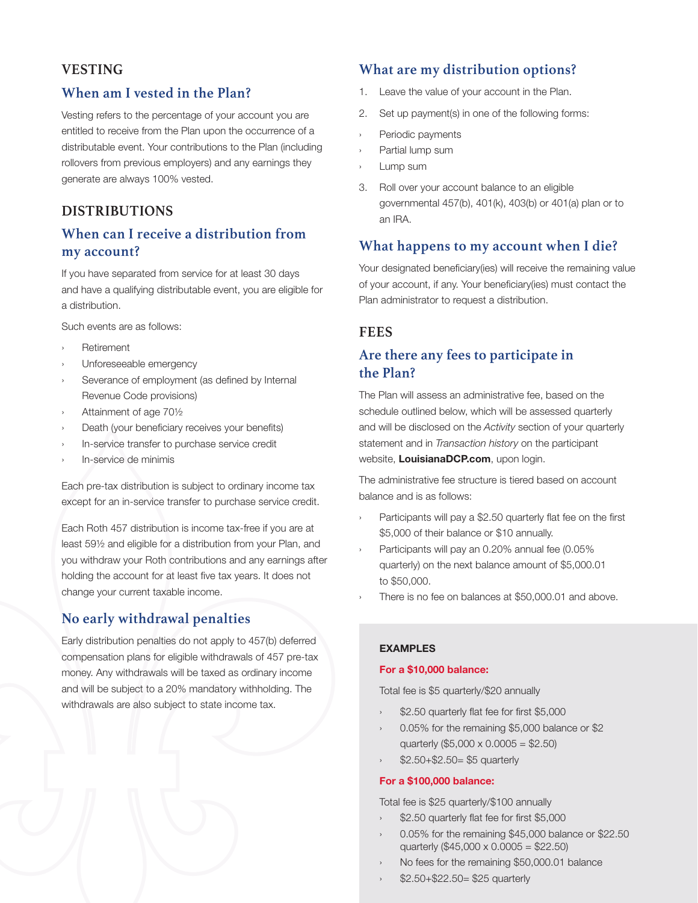#### **VESTING**

#### **When am I vested in the Plan?**

Vesting refers to the percentage of your account you are entitled to receive from the Plan upon the occurrence of a distributable event. Your contributions to the Plan (including rollovers from previous employers) and any earnings they generate are always 100% vested.

#### **DISTRIBUTIONS**

#### **When can I receive a distribution from my account?**

If you have separated from service for at least 30 days and have a qualifying distributable event, you are eligible for a distribution.

Such events are as follows:

- **Retirement**
- Unforeseeable emergency
- Severance of employment (as defined by Internal Revenue Code provisions)
- Attainment of age 701/2
- Death (your beneficiary receives your benefits)
- In-service transfer to purchase service credit
- In-service de minimis

Each pre-tax distribution is subject to ordinary income tax except for an in-service transfer to purchase service credit.

Each Roth 457 distribution is income tax-free if you are at least 59½ and eligible for a distribution from your Plan, and you withdraw your Roth contributions and any earnings after holding the account for at least five tax years. It does not change your current taxable income.

#### **No early withdrawal penalties**

Early distribution penalties do not apply to 457(b) deferred compensation plans for eligible withdrawals of 457 pre-tax money. Any withdrawals will be taxed as ordinary income and will be subject to a 20% mandatory withholding. The withdrawals are also subject to state income tax.

#### **What are my distribution options?**

- 1. Leave the value of your account in the Plan.
- 2. Set up payment(s) in one of the following forms:
- Periodic payments
- Partial lump sum
- Lump sum
- 3. Roll over your account balance to an eligible governmental 457(b), 401(k), 403(b) or 401(a) plan or to an IRA.

#### **What happens to my account when I die?**

Your designated beneficiary(ies) will receive the remaining value of your account, if any. Your beneficiary(ies) must contact the Plan administrator to request a distribution.

#### **FEES**

#### **Are there any fees to participate in the Plan?**

The Plan will assess an administrative fee, based on the schedule outlined below, which will be assessed quarterly and will be disclosed on the *Activity* section of your quarterly statement and in *Transaction history* on the participant website, **LouisianaDCP.com**, upon login.

The administrative fee structure is tiered based on account balance and is as follows:

- Participants will pay a \$2.50 quarterly flat fee on the first \$5,000 of their balance or \$10 annually.
- Participants will pay an 0.20% annual fee (0.05%) quarterly) on the next balance amount of \$5,000.01 to \$50,000.
- There is no fee on balances at \$50,000,01 and above.

#### EXAMPLES

#### For a \$10,000 balance:

Total fee is \$5 quarterly/\$20 annually

- \$2.50 quarterly flat fee for first \$5,000
- 0.05% for the remaining \$5,000 balance or \$2 quarterly (\$5,000 x 0.0005 = \$2.50)
- › \$2.50+\$2.50= \$5 quarterly

#### For a \$100,000 balance:

Total fee is \$25 quarterly/\$100 annually

- \$2.50 quarterly flat fee for first \$5,000
- 0.05% for the remaining \$45,000 balance or \$22.50 quarterly (\$45,000 x  $0.0005 = $22.50$ )
- No fees for the remaining \$50,000.01 balance
- \$2.50+\$22.50= \$25 quarterly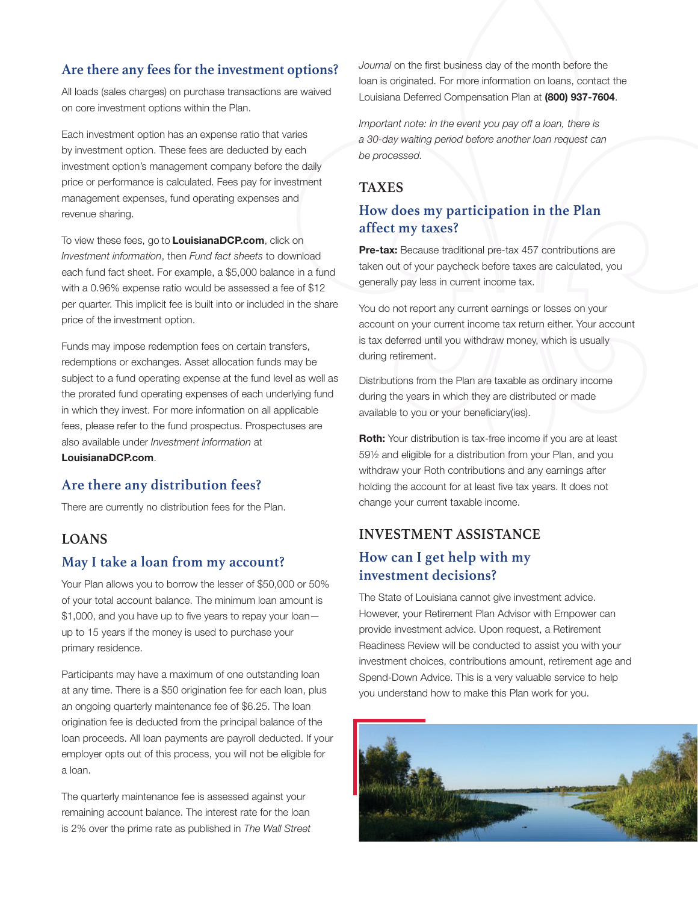#### **Are there any fees for the investment options?**

All loads (sales charges) on purchase transactions are waived on core investment options within the Plan.

Each investment option has an expense ratio that varies by investment option. These fees are deducted by each investment option's management company before the daily price or performance is calculated. Fees pay for investment management expenses, fund operating expenses and revenue sharing.

To view these fees, go to **LouisianaDCP.com**, click on *Investment information*, then *Fund fact sheets* to download each fund fact sheet. For example, a \$5,000 balance in a fund with a 0.96% expense ratio would be assessed a fee of \$12 per quarter. This implicit fee is built into or included in the share price of the investment option.

Funds may impose redemption fees on certain transfers, redemptions or exchanges. Asset allocation funds may be subject to a fund operating expense at the fund level as well as the prorated fund operating expenses of each underlying fund in which they invest. For more information on all applicable fees, please refer to the fund prospectus. Prospectuses are also available under *Investment information* at LouisianaDCP.com.

#### **Are there any distribution fees?**

There are currently no distribution fees for the Plan.

#### **LOANS**

#### **May I take a loan from my account?**

Your Plan allows you to borrow the lesser of \$50,000 or 50% of your total account balance. The minimum loan amount is \$1,000, and you have up to five years to repay your loan up to 15 years if the money is used to purchase your primary residence.

Participants may have a maximum of one outstanding loan at any time. There is a \$50 origination fee for each loan, plus an ongoing quarterly maintenance fee of \$6.25. The loan origination fee is deducted from the principal balance of the loan proceeds. All loan payments are payroll deducted. If your employer opts out of this process, you will not be eligible for a loan.

The quarterly maintenance fee is assessed against your remaining account balance. The interest rate for the loan is 2% over the prime rate as published in *The Wall Street*  *Journal* on the first business day of the month before the loan is originated. For more information on loans, contact the Louisiana Deferred Compensation Plan at (800) 937-7604.

*Important note: In the event you pay off a loan, there is a 30-day waiting period before another loan request can be processed.*

#### **TAXES**

#### **How does my participation in the Plan affect my taxes?**

Pre-tax: Because traditional pre-tax 457 contributions are taken out of your paycheck before taxes are calculated, you generally pay less in current income tax.

You do not report any current earnings or losses on your account on your current income tax return either. Your account is tax deferred until you withdraw money, which is usually during retirement.

Distributions from the Plan are taxable as ordinary income during the years in which they are distributed or made available to you or your beneficiary(ies).

**Roth:** Your distribution is tax-free income if you are at least 59½ and eligible for a distribution from your Plan, and you withdraw your Roth contributions and any earnings after holding the account for at least five tax years. It does not change your current taxable income.

#### **INVESTMENT ASSISTANCE**

#### **How can I get help with my investment decisions?**

The State of Louisiana cannot give investment advice. However, your Retirement Plan Advisor with Empower can provide investment advice. Upon request, a Retirement Readiness Review will be conducted to assist you with your investment choices, contributions amount, retirement age and Spend-Down Advice. This is a very valuable service to help you understand how to make this Plan work for you.